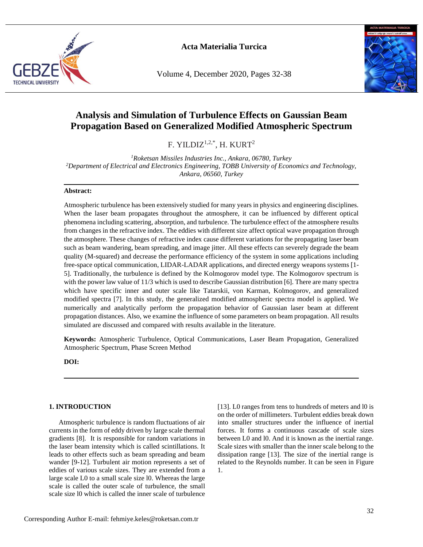

Volume 4, December 2020, Pages 32-38



# **Analysis and Simulation of Turbulence Effects on Gaussian Beam Propagation Based on Generalized Modified Atmospheric Spectrum**

F. YILDIZ<sup>1,2,\*</sup>, H. KURT<sup>2</sup>

*<sup>1</sup>Roketsan Missiles Industries Inc., Ankara, 06780, Turkey <sup>2</sup>Department of Electrical and Electronics Engineering, TOBB University of Economics and Technology, Ankara, 06560, Turkey*

#### **Abstract:**

Atmospheric turbulence has been extensively studied for many years in physics and engineering disciplines. When the laser beam propagates throughout the atmosphere, it can be influenced by different optical phenomena including scattering, absorption, and turbulence. The turbulence effect of the atmosphere results from changes in the refractive index. The eddies with different size affect optical wave propagation through the atmosphere. These changes of refractive index cause different variations for the propagating laser beam such as beam wandering, beam spreading, and image jitter. All these effects can severely degrade the beam quality (M-squared) and decrease the performance efficiency of the system in some applications including free-space optical communication, LIDAR-LADAR applications, and directed energy weapons systems [1- 5]. Traditionally, the turbulence is defined by the Kolmogorov model type. The Kolmogorov spectrum is with the power law value of 11/3 which is used to describe Gaussian distribution [6]. There are many spectra which have specific inner and outer scale like Tatarskii, von Karman, Kolmogorov, and generalized modified spectra [7]. In this study, the generalized modified atmospheric spectra model is applied. We numerically and analytically perform the propagation behavior of Gaussian laser beam at different propagation distances. Also, we examine the influence of some parameters on beam propagation. All results simulated are discussed and compared with results available in the literature.

**Keywords:** Atmospheric Turbulence, Optical Communications, Laser Beam Propagation, Generalized Atmospheric Spectrum, Phase Screen Method

**DOI:**

#### **1. INTRODUCTION**

Atmospheric turbulence is random fluctuations of air currents in the form of eddy driven by large scale thermal gradients [8]. It is responsible for random variations in the laser beam intensity which is called scintillations. It leads to other effects such as beam spreading and beam wander [9-12]. Turbulent air motion represents a set of eddies of various scale sizes. They are extended from a large scale L0 to a small scale size l0. Whereas the large scale is called the outer scale of turbulence, the small scale size l0 which is called the inner scale of turbulence [13]. L0 ranges from tens to hundreds of meters and l0 is on the order of millimeters. Turbulent eddies break down into smaller structures under the influence of inertial forces. It forms a continuous cascade of scale sizes between L0 and l0. And it is known as the inertial range. Scale sizes with smaller than the inner scale belong to the dissipation range [13]. The size of the inertial range is related to the Reynolds number. It can be seen in Figure 1.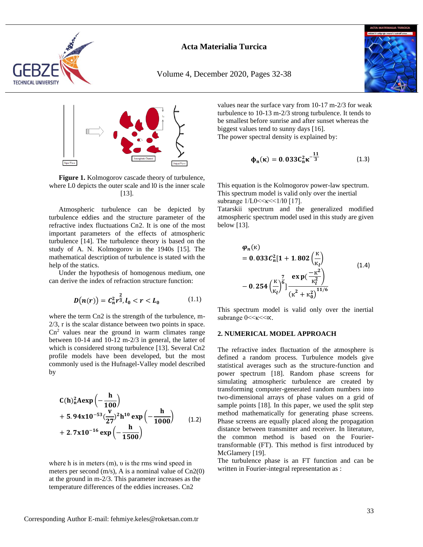

Volume 4, December 2020, Pages 32-38





**Figure 1.** Kolmogorov cascade theory of turbulence, where L0 depicts the outer scale and l0 is the inner scale [13].

Atmospheric turbulence can be depicted by turbulence eddies and the structure parameter of the refractive index fluctuations Cn2. It is one of the most important parameters of the effects of atmospheric turbulence [14]. The turbulence theory is based on the study of A. N. Kolmogorov in the 1940s [15]. The mathematical description of turbulence is stated with the help of the statics.

Under the hypothesis of homogenous medium, one can derive the index of refraction structure function:

$$
D(n(r)) = C_n^2 r^{\frac{2}{3}}, l_0 < r < L_0
$$
 (1.1)

where the term Cn2 is the strength of the turbulence, m-2/3, r is the scalar distance between two points in space.  $Cn<sup>2</sup>$  values near the ground in warm climates range between 10-14 and 10-12 m-2/3 in general, the latter of which is considered strong turbulence [13]. Several Cn2 profile models have been developed, but the most commonly used is the Hufnagel-Valley model described by

C(h)<sub>n</sub><sup>2</sup>Aexp
$$
\left(-\frac{h}{100}\right)
$$
  
+ 5.94x10<sup>-53</sup> $\left(\frac{v}{27}\right)$ <sup>2</sup>h<sup>10</sup>exp $\left(-\frac{h}{1000}\right)$  (1.2)  
+ 2.7x10<sup>-16</sup>exp $\left(-\frac{h}{1500}\right)$ 

where h is in meters (m), υ is the rms wind speed in meters per second (m/s), A is a nominal value of Cn2(0) at the ground in m-2/3. This parameter increases as the temperature differences of the eddies increases. Cn2

values near the surface vary from 10-17 m-2/3 for weak turbulence to 10-13 m-2/3 strong turbulence. It tends to be smallest before sunrise and after sunset whereas the biggest values tend to sunny days [16]. The power spectral density is explained by:

$$
\phi_n(\kappa) = 0.033 C_n^2 \kappa^{-\frac{11}{3}}
$$
 (1.3)

This equation is the Kolmogorov power-law spectrum. This spectrum model is valid only over the inertial subrange  $1/L0 < \kappa < 1/10$  [17].

Tatarskii spectrum and the generalized modified atmospheric spectrum model used in this study are given below [13].

$$
\varphi_n(\kappa) = 0.033 C_n^2 [1 + 1.802 \left(\frac{\kappa}{\kappa_l}\right) - 0.254 \left(\frac{\kappa}{\kappa_l}\right)^7] \frac{\exp\left(-\frac{\kappa^2}{\kappa_l^2}\right)}{\left(\kappa^2 + \kappa_0^2\right)^{11/6}}
$$
(1.4)

This spectrum model is valid only over the inertial subrange  $0 \ll <\kappa \ll \infty$ .

#### **2. NUMERICAL MODEL APPROACH**

The refractive index fluctuation of the atmosphere is defined a random process. Turbulence models give statistical averages such as the structure-function and power spectrum [18]. Random phase screens for simulating atmospheric turbulence are created by transforming computer-generated random numbers into two-dimensional arrays of phase values on a grid of sample points [18]. In this paper, we used the split step method mathematically for generating phase screens. Phase screens are equally placed along the propagation distance between transmitter and receiver. In literature, the common method is based on the Fouriertransformable (FT). This method is first introduced by McGlamery [19].

The turbulence phase is an FT function and can be written in Fourier-integral representation as :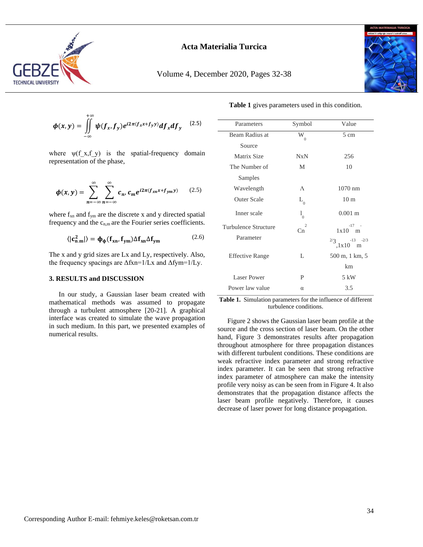

Volume 4, December 2020, Pages 32-38



 $\phi(x, y) = \int \int \psi(f_x, f_y) e^{i2\pi (f_x x + f_y y)} df_x df_y$ +∞ −∞ (2.5)

where  $\psi(f(x), f(y))$  is the spatial-frequency domain representation of the phase,

$$
\boldsymbol{\phi}(x, y) = \sum_{n = -\infty}^{\infty} \sum_{n = -\infty}^{\infty} c_n, c_m e^{i2\pi (f_{xn}x + f_{ym}y)}
$$
(2.5)

where  $f_{xn}$  and  $f_{ym}$  are the discrete x and y directed spatial frequency and the  $c_{n,m}$  are the Fourier series coefficients.

$$
\langle |c_{n,m}^2| \rangle = \phi_{\phi}(f_{xn}, f_{ym}) \Delta f_{xn} \Delta f_{ym}
$$
 (2.6)

The x and y grid sizes are Lx and Ly, respectively. Also, the frequency spacings are  $\Delta$ fxn=1/Lx and  $\Delta$ fym=1/Ly.

#### **3. RESULTS and DISCUSSION**

In our study, a Gaussian laser beam created with mathematical methods was assumed to propagate through a turbulent atmosphere [20-21]. A graphical interface was created to simulate the wave propagation in such medium. In this part, we presented examples of numerical results.

| Parameters             | Symbol                    | Value                          |
|------------------------|---------------------------|--------------------------------|
| Beam Radius at         | W<br>$\Omega$             | 5 cm                           |
| Source                 |                           |                                |
| Matrix Size            | NxN                       | 256                            |
| The Number of          | M                         | 10                             |
| Samples                |                           |                                |
| Wavelength             | $\Lambda$                 | $1070$ nm                      |
| <b>Outer Scale</b>     | L<br>$\Omega$             | 10 <sub>m</sub>                |
| Inner scale            | $\mathbf{l}_{_{0}}$       | $0.001 \; \mathrm{m}$          |
| Turbulence Structure   | $\overline{2}$<br>$C_{n}$ | $-17 - -$<br>$1x10$ m          |
| Parameter              |                           | 2/3<br>$-13 - 2/3$<br>$1x10$ m |
| <b>Effective Range</b> | L                         | 500 m, 1 km, 5                 |
|                        |                           | km                             |
| Laser Power            | P                         | 5 kW                           |
| Power law value        | $\alpha$                  | 3.5                            |

<span id="page-2-0"></span>**Table 1.** Simulation parameters for the influence of different turbulence conditions.

Figure 2 shows the Gaussian laser beam profile at the source and the cross section of laser beam. On the other hand, Figure 3 demonstrates results after propagation throughout atmosphere for three propagation distances with different turbulent conditions. These conditions are weak refractive index parameter and strong refractive index parameter. It can be seen that strong refractive index parameter of atmosphere can make the intensity profile very noisy as can be seen from in Figure 4. It also demonstrates that the propagation distance affects the laser beam profile negatively. Therefore, it causes decrease of laser power for long distance propagation.

**[Table 1](#page-2-0)** gives parameters used in this condition.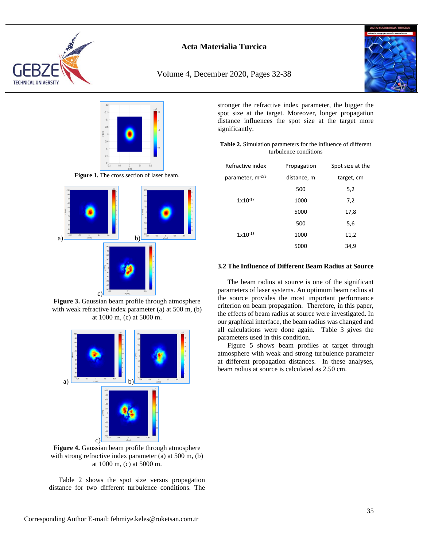

Volume 4, December 2020, Pages 32-38





**Figure 1.** The cross section of laser beam.



**Figure 3.** Gaussian beam profile through atmosphere with weak refractive index parameter (a) at 500 m, (b) at 1000 m, (c) at 5000 m.



**Figure 4.** Gaussian beam profile through atmosphere with strong refractive index parameter (a) at 500 m, (b) at 1000 m, (c) at 5000 m.

Table 2 shows the spot size versus propagation distance for two different turbulence conditions. The stronger the refractive index parameter, the bigger the spot size at the target. Moreover, longer propagation distance influences the spot size at the target more significantly.

| <b>Table 2.</b> Simulation parameters for the influence of different |  |  |
|----------------------------------------------------------------------|--|--|
| turbulence conditions                                                |  |  |

| Refractive index             | Propagation | Spot size at the |
|------------------------------|-------------|------------------|
| parameter, m <sup>-2/3</sup> | distance, m | target, cm       |
|                              | 500         | 5,2              |
| $1x10^{-17}$                 | 1000        | 7,2              |
|                              | 5000        | 17,8             |
|                              | 500         | 5,6              |
| $1x10^{-13}$                 | 1000        | 11,2             |
|                              | 5000        | 34,9             |

#### **3.2 The Influence of Different Beam Radius at Source**

The beam radius at source is one of the significant parameters of laser systems. An optimum beam radius at the source provides the most important performance criterion on beam propagation. Therefore, in this paper, the effects of beam radius at source were investigated. In our graphical interface, the beam radius was changed and all calculations were done again. Table 3 gives the parameters used in this condition.

Figure 5 shows beam profiles at target through atmosphere with weak and strong turbulence parameter at different propagation distances. In these analyses, beam radius at source is calculated as 2.50 cm.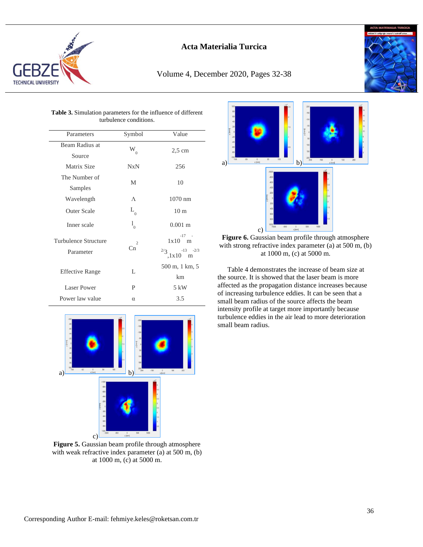

## Volume 4, December 2020, Pages 32-38



| <b>Table 3.</b> Simulation parameters for the influence of different<br>turbulence conditions. |                                  |                                  |  |  |  |
|------------------------------------------------------------------------------------------------|----------------------------------|----------------------------------|--|--|--|
| Parameters                                                                                     | Symbol                           | Value                            |  |  |  |
| Beam Radius at                                                                                 | W<br>$\Omega$                    | $2.5 \text{ cm}$                 |  |  |  |
| Source                                                                                         |                                  |                                  |  |  |  |
| Matrix Size                                                                                    | NxN                              | 256                              |  |  |  |
| The Number of                                                                                  | M                                | 10                               |  |  |  |
| Samples                                                                                        |                                  |                                  |  |  |  |
| Wavelength                                                                                     | $\wedge$                         | $1070$ nm                        |  |  |  |
| <b>Outer Scale</b>                                                                             | $L_{0}$                          | 10 <sub>m</sub>                  |  |  |  |
| Inner scale                                                                                    | $\mathbf{l}_{_{0}}$              | $0.001$ m                        |  |  |  |
| Turbulence Structure                                                                           | $\overline{c}$<br>C <sub>n</sub> | $-17 - -$<br>$1x10$ m            |  |  |  |
| Parameter                                                                                      |                                  | $-13 - 2/3$<br>2/3<br>,1x10<br>m |  |  |  |
| <b>Effective Range</b>                                                                         | L                                | 500 m, 1 km, 5                   |  |  |  |
|                                                                                                |                                  | km                               |  |  |  |
| Laser Power                                                                                    | P                                | 5 kW                             |  |  |  |
| Power law value                                                                                | $\alpha$                         | 3.5                              |  |  |  |



**Figure 5.** Gaussian beam profile through atmosphere with weak refractive index parameter (a) at 500 m, (b) at 1000 m, (c) at 5000 m.



**Figure 6.** Gaussian beam profile through atmosphere with strong refractive index parameter (a) at 500 m, (b) at 1000 m, (c) at 5000 m.

Table 4 demonstrates the increase of beam size at the source. It is showed that the laser beam is more affected as the propagation distance increases because of increasing turbulence eddies. It can be seen that a small beam radius of the source affects the beam intensity profile at target more importantly because turbulence eddies in the air lead to more deterioration small beam radius.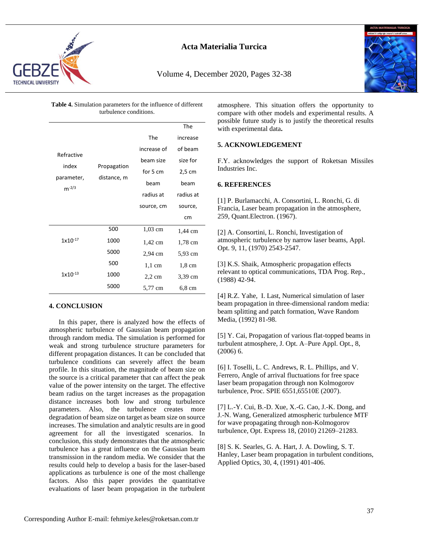

Volume 4, December 2020, Pages 32-38



**Table 4.** Simulation parameters for the influence of different turbulence conditions.

|                       |             |             | The              |
|-----------------------|-------------|-------------|------------------|
|                       |             | The         | increase         |
| Refractive            |             | increase of | of beam          |
|                       |             | beam size   | size for         |
| index                 | Propagation | for 5 cm    | $2,5$ cm         |
| parameter,<br>$m-2/3$ | distance, m | beam        | beam             |
|                       |             | radius at   | radius at        |
|                       |             | source, cm  | source,          |
|                       |             |             | cm               |
| $1x10^{-17}$          | 500         | $1,03$ cm   | 1,44 cm          |
|                       | 1000        | 1,42 cm     | $1,78$ cm        |
|                       | 5000        | 2,94 cm     | 5,93 cm          |
|                       | 500         | $1,1$ cm    | $1,8 \text{ cm}$ |
| $1x10^{-13}$          | 1000        | $2,2$ cm    | 3,39 cm          |
|                       | 5000        | 5,77 cm     | 6,8 cm           |

#### **4. CONCLUSION**

In this paper, there is analyzed how the effects of atmospheric turbulence of Gaussian beam propagation through random media. The simulation is performed for weak and strong turbulence structure parameters for different propagation distances. It can be concluded that turbulence conditions can severely affect the beam profile. In this situation, the magnitude of beam size on the source is a critical parameter that can affect the peak value of the power intensity on the target. The effective beam radius on the target increases as the propagation distance increases both low and strong turbulence parameters. Also, the turbulence creates more degradation of beam size on target as beam size on source increases. The simulation and analytic results are in good agreement for all the investigated scenarios. In conclusion, this study demonstrates that the atmospheric turbulence has a great influence on the Gaussian beam transmission in the random media. We consider that the results could help to develop a basis for the laser-based applications as turbulence is one of the most challenge factors. Also this paper provides the quantitative evaluations of laser beam propagation in the turbulent

atmosphere. This situation offers the opportunity to compare with other models and experimental results. A possible future study is to justify the theoretical results with experimental data**.** 

#### **5. ACKNOWLEDGEMENT**

F.Y. acknowledges the support of Roketsan Missiles Industries Inc.

#### **6. REFERENCES**

[1] P. Burlamacchi, A. Consortini, L. Ronchi, G. di Francia, Laser beam propagation in the atmosphere, 259, Quant.Electron. (1967).

[2] A. Consortini, L. Ronchi, Investigation of atmospheric turbulence by narrow laser beams, Appl. Opt. 9, 11, (1970) 2543-2547.

[3] K.S. Shaik, Atmospheric propagation effects relevant to optical communications, TDA Prog. Rep., (1988) 42-94.

[4] R.Z. Yahe, I. Last, Numerical simulation of laser beam propagation in three-dimensional random media: beam splitting and patch formation, Wave Random Media, (1992) 81-98.

[5] Y. Cai, Propagation of various flat-topped beams in turbulent atmosphere, J. Opt. A–Pure Appl. Opt., 8, (2006) 6.

[6] I. Toselli, L. C. Andrews, R. L. Phillips, and V. Ferrero, Angle of arrival fluctuations for free space laser beam propagation through non Kolmogorov turbulence, Proc. SPIE 6551,65510E (2007).

[7] L.-Y. Cui, B.-D. Xue, X.-G. Cao, J.-K. Dong, and J.-N. Wang, Generalized atmospheric turbulence MTF for wave propagating through non-Kolmogorov turbulence, Opt. Express 18, (2010) 21269–21283.

[8] S. K. Searles, G. A. Hart, J. A. Dowling, S. T. Hanley, Laser beam propagation in turbulent conditions, Applied Optics, 30, 4, (1991) 401-406.